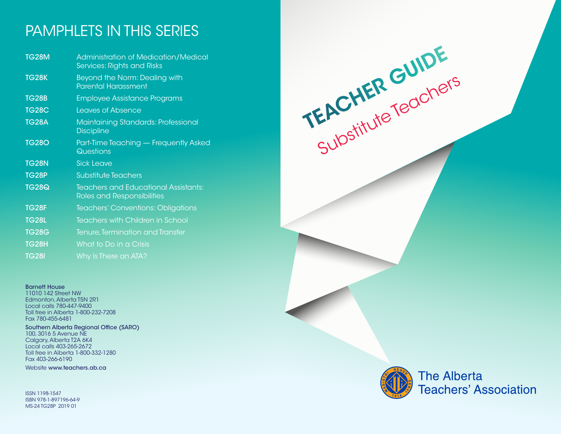## PAMPHLETS IN THIS SERIES

| <b>TG28M</b> | <b>Administration of Medication/Medical</b><br>Services: Rights and Risks        |
|--------------|----------------------------------------------------------------------------------|
| <b>TG28K</b> | Beyond the Norm: Dealing with<br><b>Parental Harassment</b>                      |
| <b>TG28B</b> | <b>Employee Assistance Programs</b>                                              |
| <b>TG28C</b> | <b>Leaves of Absence</b>                                                         |
| <b>TG28A</b> | Maintaining Standards: Professional<br><b>Discipline</b>                         |
| <b>TG280</b> | Part-Time Teaching - Frequently Asked<br>Questions                               |
| <b>TG28N</b> | <b>Sick Leave</b>                                                                |
| <b>TG28P</b> | <b>Substitute Teachers</b>                                                       |
| <b>TG28Q</b> | <b>Teachers and Educational Assistants:</b><br><b>Roles and Responsibilities</b> |
| <b>TG28F</b> | <b>Teachers' Conventions: Obligations</b>                                        |
| <b>TG28L</b> | <b>Teachers with Children in School</b>                                          |
| <b>TG28G</b> | Tenure, Termination and Transfer                                                 |
| <b>TG28H</b> | What to Do in a Crisis                                                           |
| <b>TG28I</b> | Why Is There an ATA?                                                             |

### Barnett House

11010 142 Street NW Edmonton, Alberta T5N 2R1 Local calls 780-447-9400 Toll free in Alberta 1-800-232-7208 Fax 780-455-6481

#### Southern Alberta Regional Office (SARO) 100, 3016 5 Avenue NE Calgary, Alberta T2A 6K4 Local calls 403-265-2672 Toll free in Alberta 1-800-332-1280 Fax 403-266-6190

Website www.teachers.ab.ca

ISSN 1198-1547 ISBN 978-1-897196-64-9 MS-24 TG28P 2019 01